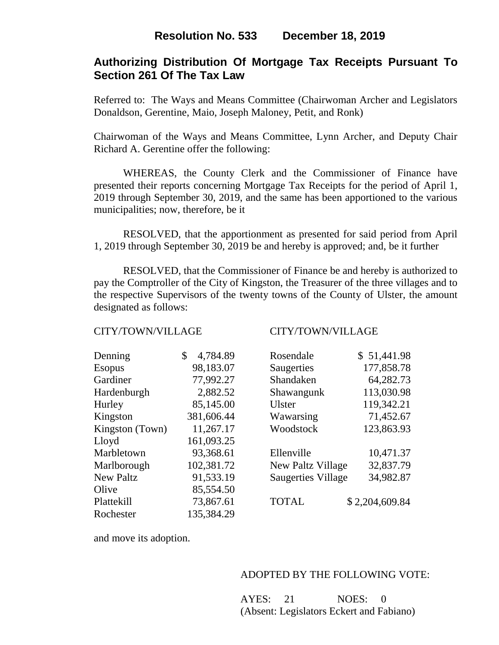# **Authorizing Distribution Of Mortgage Tax Receipts Pursuant To Section 261 Of The Tax Law**

Referred to: The Ways and Means Committee (Chairwoman Archer and Legislators Donaldson, Gerentine, Maio, Joseph Maloney, Petit, and Ronk)

Chairwoman of the Ways and Means Committee, Lynn Archer, and Deputy Chair Richard A. Gerentine offer the following:

WHEREAS, the County Clerk and the Commissioner of Finance have presented their reports concerning Mortgage Tax Receipts for the period of April 1, 2019 through September 30, 2019, and the same has been apportioned to the various municipalities; now, therefore, be it

RESOLVED, that the apportionment as presented for said period from April 1, 2019 through September 30, 2019 be and hereby is approved; and, be it further

RESOLVED, that the Commissioner of Finance be and hereby is authorized to pay the Comptroller of the City of Kingston, the Treasurer of the three villages and to the respective Supervisors of the twenty towns of the County of Ulster, the amount designated as follows:

## CITY/TOWN/VILLAGE CITY/TOWN/VILLAGE

| Denning          | 4,784.89<br>\$ | Rosendale                 | \$51,441.98    |
|------------------|----------------|---------------------------|----------------|
| <b>Esopus</b>    | 98,183.07      | Saugerties                | 177,858.78     |
| Gardiner         | 77,992.27      | Shandaken                 | 64,282.73      |
| Hardenburgh      | 2,882.52       | Shawangunk                | 113,030.98     |
| Hurley           | 85,145.00      | <b>Ulster</b>             | 119,342.21     |
| Kingston         | 381,606.44     | Wawarsing                 | 71,452.67      |
| Kingston (Town)  | 11,267.17      | Woodstock                 | 123,863.93     |
| Lloyd            | 161,093.25     |                           |                |
| Marbletown       | 93,368.61      | Ellenville                | 10,471.37      |
| Marlborough      | 102,381.72     | New Paltz Village         | 32,837.79      |
| <b>New Paltz</b> | 91,533.19      | <b>Saugerties Village</b> | 34,982.87      |
| Olive            | 85,554.50      |                           |                |
| Plattekill       | 73,867.61      | <b>TOTAL</b>              | \$2,204,609.84 |
| Rochester        | 135,384.29     |                           |                |

| Rosendale                 | \$51,441.98 |
|---------------------------|-------------|
| Saugerties                | 177,858.78  |
| Shandaken                 | 64,282.73   |
| Shawangunk                | 113,030.98  |
| Ulster                    | 119,342.21  |
| Wawarsing                 | 71,452.67   |
| Woodstock                 | 123,863.93  |
|                           |             |
| Ellenville                | 10,471.37   |
| New Paltz Village         | 32,837.79   |
| <b>Saugerties Village</b> | 34,982.87   |
|                           |             |

and move its adoption.

## ADOPTED BY THE FOLLOWING VOTE:

AYES: 21 NOES: 0 (Absent: Legislators Eckert and Fabiano)